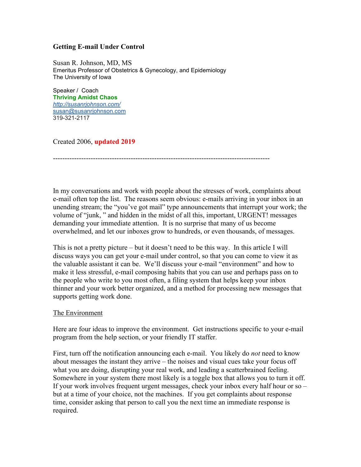## **Getting E-mail Under Control**

Susan R. Johnson, MD, MS Emeritus Professor of Obstetrics & Gynecology, and Epidemiology The University of Iowa

Speaker / Coach **Thriving Amidst Chaos** *<http://susanrjohnson.com/>* [susan@susanrjohnson.com](mailto:susan@susanrjohnson.com) 319-321-2117

Created 2006, **updated 2019**

--------------------------------------------------------------------------------------------

In my conversations and work with people about the stresses of work, complaints about e-mail often top the list. The reasons seem obvious: e-mails arriving in your inbox in an unending stream; the "you've got mail" type announcements that interrupt your work; the volume of "junk, " and hidden in the midst of all this, important, URGENT! messages demanding your immediate attention. It is no surprise that many of us become overwhelmed, and let our inboxes grow to hundreds, or even thousands, of messages.

This is not a pretty picture – but it doesn't need to be this way. In this article I will discuss ways you can get your e-mail under control, so that you can come to view it as the valuable assistant it can be. We'll discuss your e-mail "environment" and how to make it less stressful, e-mail composing habits that you can use and perhaps pass on to the people who write to you most often, a filing system that helps keep your inbox thinner and your work better organized, and a method for processing new messages that supports getting work done.

#### The Environment

Here are four ideas to improve the environment. Get instructions specific to your e-mail program from the help section, or your friendly IT staffer.

First, turn off the notification announcing each e-mail. You likely do *not* need to know about messages the instant they arrive – the noises and visual cues take your focus off what you are doing, disrupting your real work, and leading a scatterbrained feeling. Somewhere in your system there most likely is a toggle box that allows you to turn it off. If your work involves frequent urgent messages, check your inbox every half hour or so – but at a time of your choice, not the machines. If you get complaints about response time, consider asking that person to call you the next time an immediate response is required.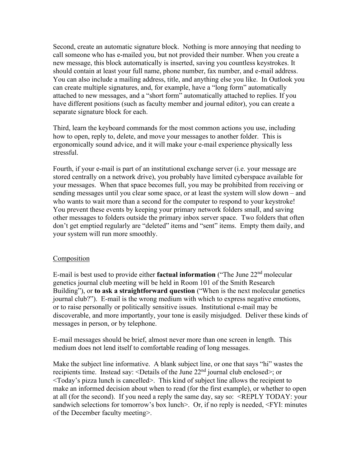Second, create an automatic signature block. Nothing is more annoying that needing to call someone who has e-mailed you, but not provided their number. When you create a new message, this block automatically is inserted, saving you countless keystrokes. It should contain at least your full name, phone number, fax number, and e-mail address. You can also include a mailing address, title, and anything else you like. In Outlook you can create multiple signatures, and, for example, have a "long form" automatically attached to new messages, and a "short form" automatically attached to replies. If you have different positions (such as faculty member and journal editor), you can create a separate signature block for each.

Third, learn the keyboard commands for the most common actions you use, including how to open, reply to, delete, and move your messages to another folder. This is ergonomically sound advice, and it will make your e-mail experience physically less stressful.

Fourth, if your e-mail is part of an institutional exchange server (i.e. your message are stored centrally on a network drive), you probably have limited cyberspace available for your messages. When that space becomes full, you may be prohibited from receiving or sending messages until you clear some space, or at least the system will slow down – and who wants to wait more than a second for the computer to respond to your keystroke! You prevent these events by keeping your primary network folders small, and saving other messages to folders outside the primary inbox server space. Two folders that often don't get emptied regularly are "deleted" items and "sent" items. Empty them daily, and your system will run more smoothly.

#### Composition

E-mail is best used to provide either **factual information** ("The June 22nd molecular genetics journal club meeting will be held in Room 101 of the Smith Research Building"), or **to ask a straightforward question** ("When is the next molecular genetics journal club?"). E-mail is the wrong medium with which to express negative emotions, or to raise personally or politically sensitive issues. Institutional e-mail may be discoverable, and more importantly, your tone is easily misjudged. Deliver these kinds of messages in person, or by telephone.

E-mail messages should be brief, almost never more than one screen in length. This medium does not lend itself to comfortable reading of long messages.

Make the subject line informative. A blank subject line, or one that says "hi" wastes the recipients time. Instead say: <Details of the June  $22<sup>nd</sup>$  journal club enclosed>; or <Today's pizza lunch is cancelled>. This kind of subject line allows the recipient to make an informed decision about when to read (for the first example), or whether to open at all (for the second). If you need a reply the same day, say so: <REPLY TODAY: your sandwich selections for tomorrow's box lunch>. Or, if no reply is needed,  $\leq$ FYI: minutes of the December faculty meeting>.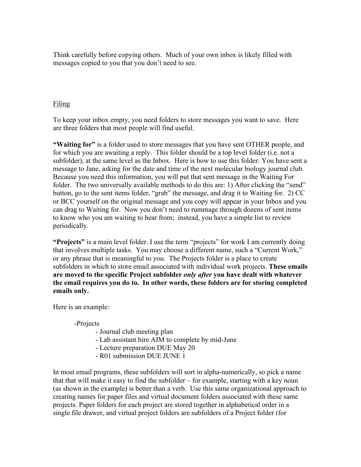Think carefully before copying others. Much of your own inbox is likely filled with messages copied to you that you don't need to see.

# Filing

To keep your inbox empty, you need folders to store messages you want to save. Here are three folders that most people will find useful.

**"Waiting for"** is a folder used to store messages that you have sent OTHER people, and for which you are awaiting a reply. This folder should be a top level folder (i.e. not a subfolder), at the same level as the Inbox. Here is how to use this folder: You have sent a message to Jane, asking for the date and time of the next molecular biology journal club. Because you need this information, you will put that sent message in the Waiting For folder. The two universally available methods to do this are: 1) After clicking the "send" button, go to the sent items folder, "grab" the message, and drag it to Waiting for. 2) CC or BCC yourself on the original message and you copy will appear in your Inbox and you can drag to Waiting for. Now you don't need to rummage through dozens of sent items to know who you am waiting to hear from; instead, you have a simple list to review periodically.

**"Projects"** is a main level folder. I use the term "projects" for work I am currently doing that involves multiple tasks. You may choose a different name, such a "Current Work," or any phrase that is meaningful to you. The Projects folder is a place to create subfolders in which to store email associated with individual work projects. **These emails are moved to the specific Project subfolder** *only after* **you have dealt with whatever the email requires you do to. In other words, these folders are for storing completed emails only.**

Here is an example:

#### -Projects

- Journal club meeting plan
- Lab assistant hire AIM to complete by mid-June
- Lecture preparation DUE May 20
- R01 submission DUE JUNE 1

In most email programs, these subfolders will sort in alpha-numerically, so pick a name that that will make it easy to find the subfolder – for example, starting with a key noun (as shown in the example) is better than a verb. Use this same organizational approach to creating names for paper files and virtual document folders associated with these same projects. Paper folders for each project are stored together in alphabetical order in a single file drawer, and virtual project folders are subfolders of a Project folder (for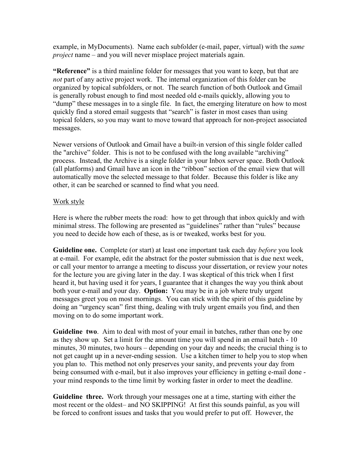example, in MyDocuments). Name each subfolder (e-mail, paper, virtual) with the *same project* name – and you will never misplace project materials again.

**"Reference"** is a third mainline folder for messages that you want to keep, but that are *not* part of any active project work. The internal organization of this folder can be organized by topical subfolders, or not. The search function of both Outlook and Gmail is generally robust enough to find most needed old e-mails quickly, allowing you to "dump" these messages in to a single file. In fact, the emerging literature on how to most quickly find a stored email suggests that "search" is faster in most cases than using topical folders, so you may want to move toward that approach for non-project associated messages.

Newer versions of Outlook and Gmail have a built-in version of this single folder called the "archive" folder. This is not to be confused with the long available "archiving" process. Instead, the Archive is a single folder in your Inbox server space. Both Outlook (all platforms) and Gmail have an icon in the "ribbon" section of the email view that will automatically move the selected message to that folder. Because this folder is like any other, it can be searched or scanned to find what you need.

## Work style

Here is where the rubber meets the road: how to get through that inbox quickly and with minimal stress. The following are presented as "guidelines" rather than "rules" because you need to decide how each of these, as is or tweaked, works best for you.

**Guideline one.** Complete (or start) at least one important task each day *before* you look at e-mail. For example, edit the abstract for the poster submission that is due next week, or call your mentor to arrange a meeting to discuss your dissertation, or review your notes for the lecture you are giving later in the day. I was skeptical of this trick when I first heard it, but having used it for years, I guarantee that it changes the way you think about both your e-mail and your day. **Option:** You may be in a job where truly urgent messages greet you on most mornings. You can stick with the spirit of this guideline by doing an "urgency scan" first thing, dealing with truly urgent emails you find, and then moving on to do some important work.

**Guideline two**. Aim to deal with most of your email in batches, rather than one by one as they show up. Set a limit for the amount time you will spend in an email batch - 10 minutes, 30 minutes, two hours – depending on your day and needs; the crucial thing is to not get caught up in a never-ending session. Use a kitchen timer to help you to stop when you plan to. This method not only preserves your sanity, and prevents your day from being consumed with e-mail, but it also improves your efficiency in getting e-mail done your mind responds to the time limit by working faster in order to meet the deadline.

**Guideline three.** Work through your messages one at a time, starting with either the most recent or the oldest– and NO SKIPPING! At first this sounds painful, as you will be forced to confront issues and tasks that you would prefer to put off. However, the